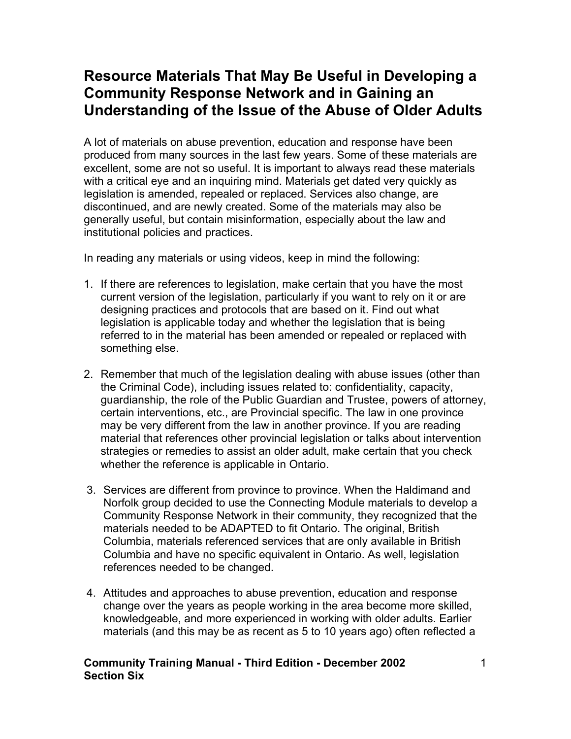# **Resource Materials That May Be Useful in Developing a Community Response Network and in Gaining an Understanding of the Issue of the Abuse of Older Adults**

A lot of materials on abuse prevention, education and response have been produced from many sources in the last few years. Some of these materials are excellent, some are not so useful. It is important to always read these materials with a critical eye and an inquiring mind. Materials get dated very quickly as legislation is amended, repealed or replaced. Services also change, are discontinued, and are newly created. Some of the materials may also be generally useful, but contain misinformation, especially about the law and institutional policies and practices.

In reading any materials or using videos, keep in mind the following:

- 1. If there are references to legislation, make certain that you have the most current version of the legislation, particularly if you want to rely on it or are designing practices and protocols that are based on it. Find out what legislation is applicable today and whether the legislation that is being referred to in the material has been amended or repealed or replaced with something else.
- 2. Remember that much of the legislation dealing with abuse issues (other than the Criminal Code), including issues related to: confidentiality, capacity, guardianship, the role of the Public Guardian and Trustee, powers of attorney, certain interventions, etc., are Provincial specific. The law in one province may be very different from the law in another province. If you are reading material that references other provincial legislation or talks about intervention strategies or remedies to assist an older adult, make certain that you check whether the reference is applicable in Ontario.
- 3. Services are different from province to province. When the Haldimand and Norfolk group decided to use the Connecting Module materials to develop a Community Response Network in their community, they recognized that the materials needed to be ADAPTED to fit Ontario. The original, British Columbia, materials referenced services that are only available in British Columbia and have no specific equivalent in Ontario. As well, legislation references needed to be changed.
- 4. Attitudes and approaches to abuse prevention, education and response change over the years as people working in the area become more skilled, knowledgeable, and more experienced in working with older adults. Earlier materials (and this may be as recent as 5 to 10 years ago) often reflected a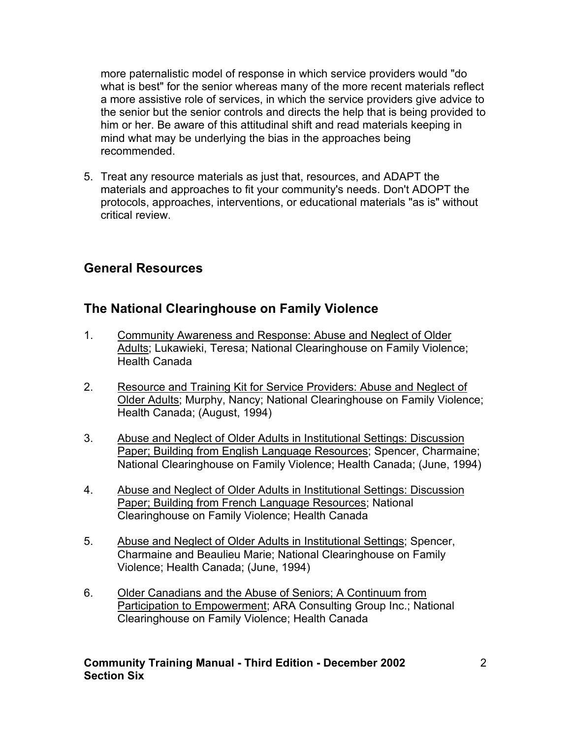more paternalistic model of response in which service providers would "do what is best" for the senior whereas many of the more recent materials reflect a more assistive role of services, in which the service providers give advice to the senior but the senior controls and directs the help that is being provided to him or her. Be aware of this attitudinal shift and read materials keeping in mind what may be underlying the bias in the approaches being recommended.

5. Treat any resource materials as just that, resources, and ADAPT the materials and approaches to fit your community's needs. Don't ADOPT the protocols, approaches, interventions, or educational materials "as is" without critical review.

### **General Resources**

### **The National Clearinghouse on Family Violence**

- 1. Community Awareness and Response: Abuse and Neglect of Older Adults; Lukawieki, Teresa; National Clearinghouse on Family Violence; Health Canada
- 2. Resource and Training Kit for Service Providers: Abuse and Neglect of Older Adults; Murphy, Nancy; National Clearinghouse on Family Violence; Health Canada; (August, 1994)
- 3. Abuse and Neglect of Older Adults in Institutional Settings: Discussion Paper; Building from English Language Resources; Spencer, Charmaine; National Clearinghouse on Family Violence; Health Canada; (June, 1994)
- 4. Abuse and Neglect of Older Adults in Institutional Settings: Discussion Paper; Building from French Language Resources; National Clearinghouse on Family Violence; Health Canada
- 5. Abuse and Neglect of Older Adults in Institutional Settings; Spencer, Charmaine and Beaulieu Marie; National Clearinghouse on Family Violence; Health Canada; (June, 1994)
- 6. Older Canadians and the Abuse of Seniors; A Continuum from Participation to Empowerment; ARA Consulting Group Inc.; National Clearinghouse on Family Violence; Health Canada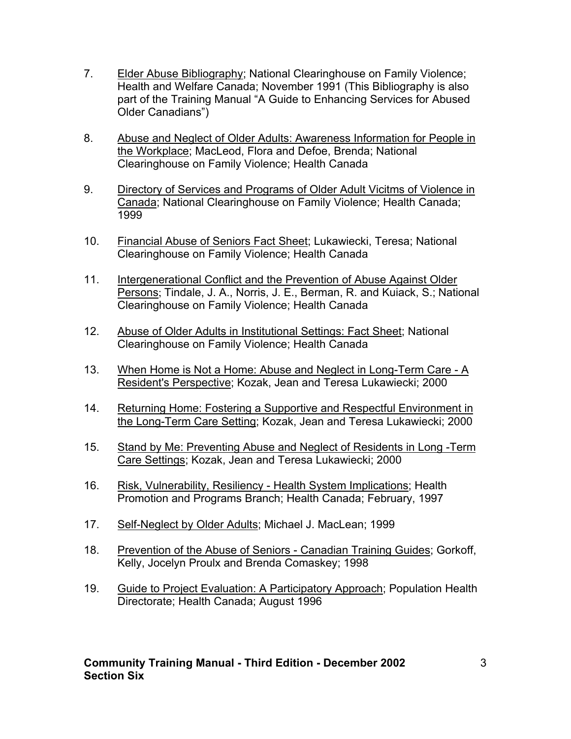- 7. Elder Abuse Bibliography; National Clearinghouse on Family Violence; Health and Welfare Canada; November 1991 (This Bibliography is also part of the Training Manual "A Guide to Enhancing Services for Abused Older Canadians")
- 8. Abuse and Neglect of Older Adults: Awareness Information for People in the Workplace; MacLeod, Flora and Defoe, Brenda; National Clearinghouse on Family Violence; Health Canada
- 9. Directory of Services and Programs of Older Adult Vicitms of Violence in Canada; National Clearinghouse on Family Violence; Health Canada; 1999
- 10. Financial Abuse of Seniors Fact Sheet; Lukawiecki, Teresa; National Clearinghouse on Family Violence; Health Canada
- 11. Intergenerational Conflict and the Prevention of Abuse Against Older Persons; Tindale, J. A., Norris, J. E., Berman, R. and Kuiack, S.; National Clearinghouse on Family Violence; Health Canada
- 12. Abuse of Older Adults in Institutional Settings: Fact Sheet; National Clearinghouse on Family Violence; Health Canada
- 13. When Home is Not a Home: Abuse and Neglect in Long-Term Care A Resident's Perspective; Kozak, Jean and Teresa Lukawiecki; 2000
- 14. Returning Home: Fostering a Supportive and Respectful Environment in the Long-Term Care Setting; Kozak, Jean and Teresa Lukawiecki; 2000
- 15. Stand by Me: Preventing Abuse and Neglect of Residents in Long -Term Care Settings; Kozak, Jean and Teresa Lukawiecki; 2000
- 16. Risk, Vulnerability, Resiliency Health System Implications; Health Promotion and Programs Branch; Health Canada; February, 1997
- 17. Self-Neglect by Older Adults; Michael J. MacLean; 1999
- 18. Prevention of the Abuse of Seniors Canadian Training Guides; Gorkoff, Kelly, Jocelyn Proulx and Brenda Comaskey; 1998
- 19. Guide to Project Evaluation: A Participatory Approach; Population Health Directorate; Health Canada; August 1996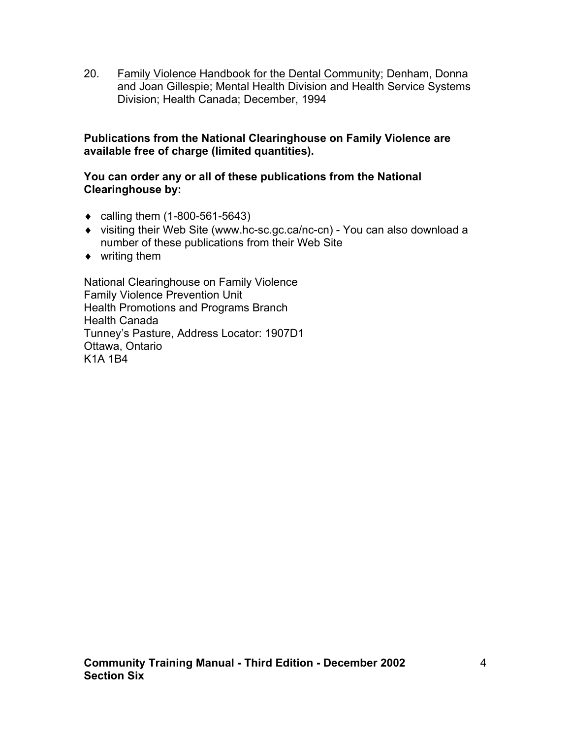20. Family Violence Handbook for the Dental Community; Denham, Donna and Joan Gillespie; Mental Health Division and Health Service Systems Division; Health Canada; December, 1994

#### **Publications from the National Clearinghouse on Family Violence are available free of charge (limited quantities).**

#### **You can order any or all of these publications from the National Clearinghouse by:**

- $\bullet$  calling them (1-800-561-5643)
- ♦ visiting their Web Site (www.hc-sc.gc.ca/nc-cn) You can also download a number of these publications from their Web Site
- ♦ writing them

National Clearinghouse on Family Violence Family Violence Prevention Unit Health Promotions and Programs Branch Health Canada Tunney's Pasture, Address Locator: 1907D1 Ottawa, Ontario K1A 1B4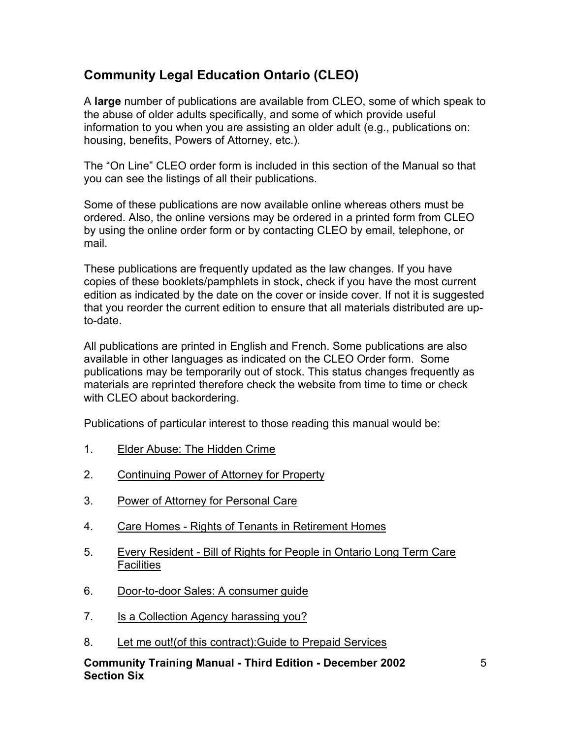# **Community Legal Education Ontario (CLEO)**

A **large** number of publications are available from CLEO, some of which speak to the abuse of older adults specifically, and some of which provide useful information to you when you are assisting an older adult (e.g., publications on: housing, benefits, Powers of Attorney, etc.).

The "On Line" CLEO order form is included in this section of the Manual so that you can see the listings of all their publications.

Some of these publications are now available online whereas others must be ordered. Also, the online versions may be ordered in a printed form from CLEO by using the online order form or by contacting CLEO by email, telephone, or mail.

These publications are frequently updated as the law changes. If you have copies of these booklets/pamphlets in stock, check if you have the most current edition as indicated by the date on the cover or inside cover. If not it is suggested that you reorder the current edition to ensure that all materials distributed are upto-date.

All publications are printed in English and French. Some publications are also available in other languages as indicated on the CLEO Order form. Some publications may be temporarily out of stock. This status changes frequently as materials are reprinted therefore check the website from time to time or check with CLEO about backordering.

Publications of particular interest to those reading this manual would be:

- 1. Elder Abuse: The Hidden Crime
- 2. Continuing Power of Attorney for Property
- 3. Power of Attorney for Personal Care
- 4. Care Homes Rights of Tenants in Retirement Homes
- 5. Every Resident Bill of Rights for People in Ontario Long Term Care **Facilities**
- 6. Door-to-door Sales: A consumer guide
- 7. Is a Collection Agency harassing you?
- 8. Let me out!(of this contract):Guide to Prepaid Services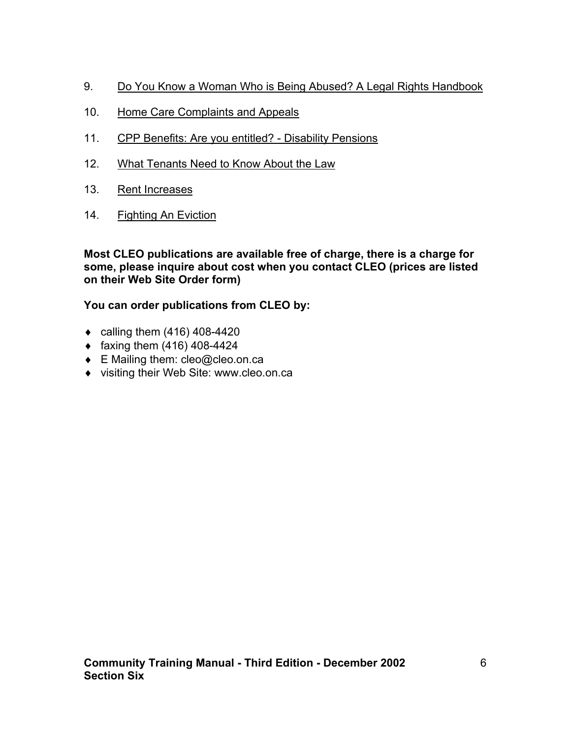- 9. Do You Know a Woman Who is Being Abused? A Legal Rights Handbook
- 10. Home Care Complaints and Appeals
- 11. CPP Benefits: Are you entitled? Disability Pensions
- 12. What Tenants Need to Know About the Law
- 13. Rent Increases
- 14. Fighting An Eviction

#### **Most CLEO publications are available free of charge, there is a charge for some, please inquire about cost when you contact CLEO (prices are listed on their Web Site Order form)**

### **You can order publications from CLEO by:**

- $\bullet$  calling them (416) 408-4420
- $\bullet$  faxing them (416) 408-4424
- ◆ E Mailing them: cleo@cleo.on.ca
- ♦ visiting their Web Site: www.cleo.on.ca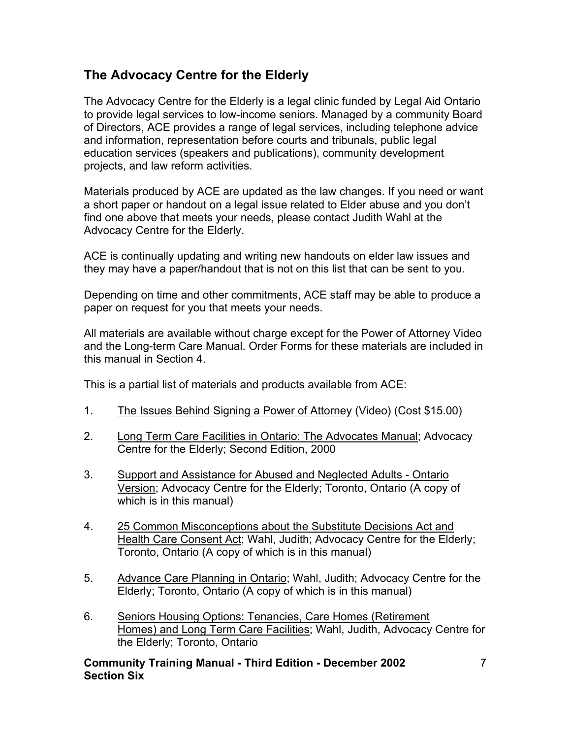# **The Advocacy Centre for the Elderly**

The Advocacy Centre for the Elderly is a legal clinic funded by Legal Aid Ontario to provide legal services to low-income seniors. Managed by a community Board of Directors, ACE provides a range of legal services, including telephone advice and information, representation before courts and tribunals, public legal education services (speakers and publications), community development projects, and law reform activities.

Materials produced by ACE are updated as the law changes. If you need or want a short paper or handout on a legal issue related to Elder abuse and you don't find one above that meets your needs, please contact Judith Wahl at the Advocacy Centre for the Elderly.

ACE is continually updating and writing new handouts on elder law issues and they may have a paper/handout that is not on this list that can be sent to you.

Depending on time and other commitments, ACE staff may be able to produce a paper on request for you that meets your needs.

All materials are available without charge except for the Power of Attorney Video and the Long-term Care Manual. Order Forms for these materials are included in this manual in Section 4.

This is a partial list of materials and products available from ACE:

- 1. The Issues Behind Signing a Power of Attorney (Video) (Cost \$15.00)
- 2. Long Term Care Facilities in Ontario: The Advocates Manual; Advocacy Centre for the Elderly; Second Edition, 2000
- 3. Support and Assistance for Abused and Neglected Adults Ontario Version; Advocacy Centre for the Elderly; Toronto, Ontario (A copy of which is in this manual)
- 4. 25 Common Misconceptions about the Substitute Decisions Act and Health Care Consent Act; Wahl, Judith; Advocacy Centre for the Elderly; Toronto, Ontario (A copy of which is in this manual)
- 5. Advance Care Planning in Ontario; Wahl, Judith; Advocacy Centre for the Elderly; Toronto, Ontario (A copy of which is in this manual)
- 6. Seniors Housing Options: Tenancies, Care Homes (Retirement Homes) and Long Term Care Facilities; Wahl, Judith, Advocacy Centre for the Elderly; Toronto, Ontario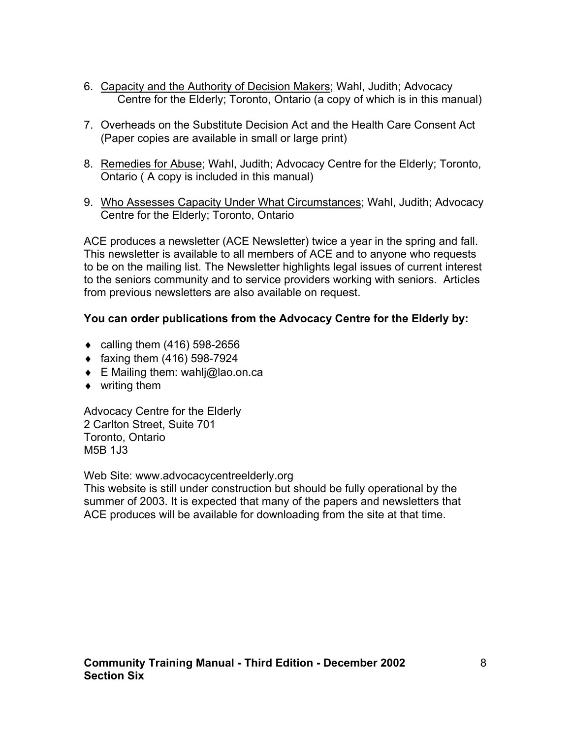- 6. Capacity and the Authority of Decision Makers; Wahl, Judith; Advocacy Centre for the Elderly; Toronto, Ontario (a copy of which is in this manual)
- 7. Overheads on the Substitute Decision Act and the Health Care Consent Act (Paper copies are available in small or large print)
- 8. Remedies for Abuse; Wahl, Judith; Advocacy Centre for the Elderly; Toronto, Ontario ( A copy is included in this manual)
- 9. Who Assesses Capacity Under What Circumstances; Wahl, Judith; Advocacy Centre for the Elderly; Toronto, Ontario

ACE produces a newsletter (ACE Newsletter) twice a year in the spring and fall. This newsletter is available to all members of ACE and to anyone who requests to be on the mailing list. The Newsletter highlights legal issues of current interest to the seniors community and to service providers working with seniors. Articles from previous newsletters are also available on request.

### **You can order publications from the Advocacy Centre for the Elderly by:**

- $\bullet$  calling them (416) 598-2656
- $\bullet$  faxing them (416) 598-7924
- $\bullet$  E Mailing them: wahli@lao.on.ca
- $\bullet$  writing them

Advocacy Centre for the Elderly 2 Carlton Street, Suite 701 Toronto, Ontario M5B 1J3

Web Site: www.advocacycentreelderly.org

This website is still under construction but should be fully operational by the summer of 2003. It is expected that many of the papers and newsletters that ACE produces will be available for downloading from the site at that time.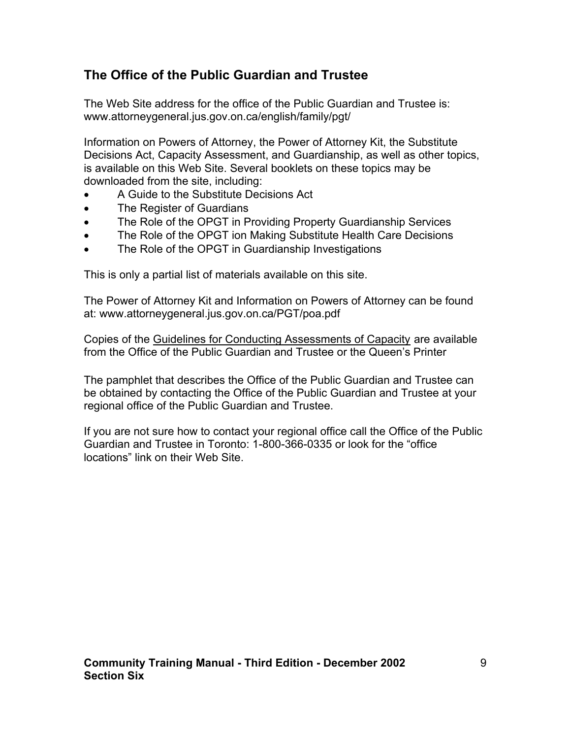### **The Office of the Public Guardian and Trustee**

The Web Site address for the office of the Public Guardian and Trustee is: www.attorneygeneral.jus.gov.on.ca/english/family/pgt/

Information on Powers of Attorney, the Power of Attorney Kit, the Substitute Decisions Act, Capacity Assessment, and Guardianship, as well as other topics, is available on this Web Site. Several booklets on these topics may be downloaded from the site, including:

- A Guide to the Substitute Decisions Act
- The Register of Guardians
- The Role of the OPGT in Providing Property Guardianship Services
- The Role of the OPGT ion Making Substitute Health Care Decisions
- The Role of the OPGT in Guardianship Investigations

This is only a partial list of materials available on this site.

The Power of Attorney Kit and Information on Powers of Attorney can be found at: www.attorneygeneral.jus.gov.on.ca/PGT/poa.pdf

Copies of the Guidelines for Conducting Assessments of Capacity are available from the Office of the Public Guardian and Trustee or the Queen's Printer

The pamphlet that describes the Office of the Public Guardian and Trustee can be obtained by contacting the Office of the Public Guardian and Trustee at your regional office of the Public Guardian and Trustee.

If you are not sure how to contact your regional office call the Office of the Public Guardian and Trustee in Toronto: 1-800-366-0335 or look for the "office locations" link on their Web Site.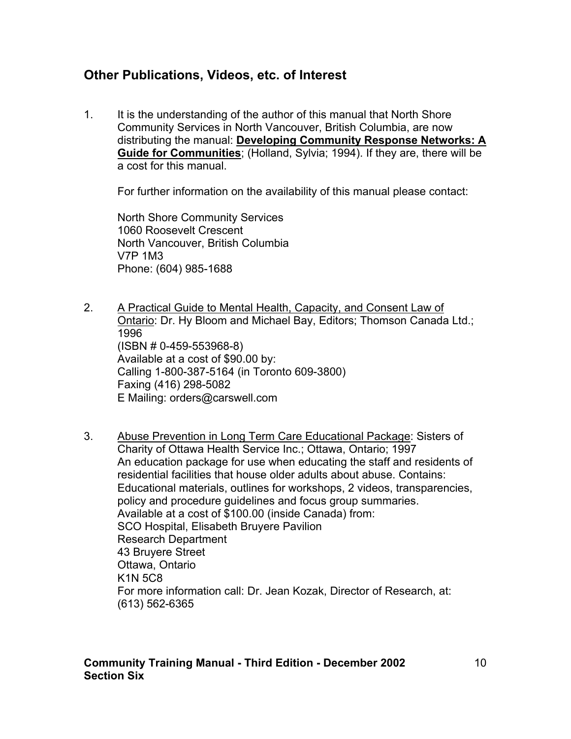### **Other Publications, Videos, etc. of Interest**

1. It is the understanding of the author of this manual that North Shore Community Services in North Vancouver, British Columbia, are now distributing the manual: **Developing Community Response Networks: A Guide for Communities**; (Holland, Sylvia; 1994). If they are, there will be a cost for this manual.

For further information on the availability of this manual please contact:

North Shore Community Services 1060 Roosevelt Crescent North Vancouver, British Columbia V7P 1M3 Phone: (604) 985-1688

- 2. A Practical Guide to Mental Health, Capacity, and Consent Law of Ontario: Dr. Hy Bloom and Michael Bay, Editors; Thomson Canada Ltd.; 1996 (ISBN # 0-459-553968-8) Available at a cost of \$90.00 by: Calling 1-800-387-5164 (in Toronto 609-3800) Faxing (416) 298-5082 E Mailing: orders@carswell.com
- 3. Abuse Prevention in Long Term Care Educational Package: Sisters of Charity of Ottawa Health Service Inc.; Ottawa, Ontario; 1997 An education package for use when educating the staff and residents of residential facilities that house older adults about abuse. Contains: Educational materials, outlines for workshops, 2 videos, transparencies, policy and procedure guidelines and focus group summaries. Available at a cost of \$100.00 (inside Canada) from: SCO Hospital, Elisabeth Bruyere Pavilion Research Department 43 Bruyere Street Ottawa, Ontario K1N 5C8 For more information call: Dr. Jean Kozak, Director of Research, at: (613) 562-6365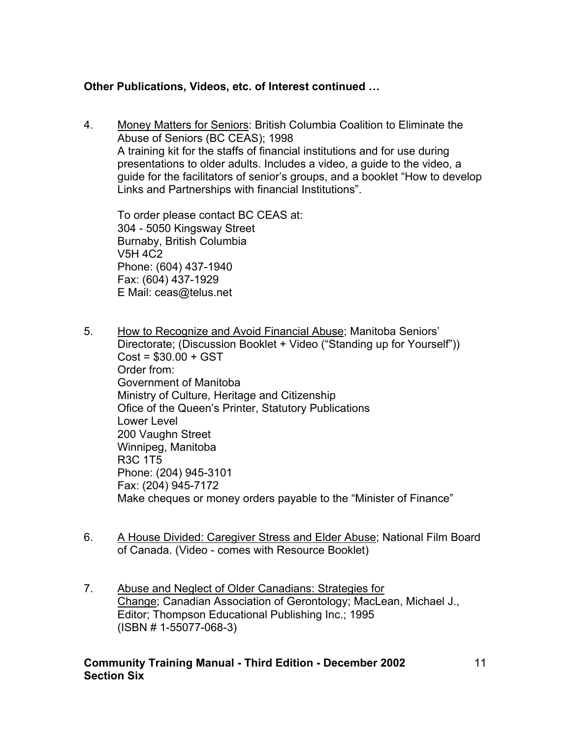### **Other Publications, Videos, etc. of Interest continued …**

4. Money Matters for Seniors: British Columbia Coalition to Eliminate the Abuse of Seniors (BC CEAS); 1998 A training kit for the staffs of financial institutions and for use during presentations to older adults. Includes a video, a guide to the video, a guide for the facilitators of senior's groups, and a booklet "How to develop Links and Partnerships with financial Institutions".

 To order please contact BC CEAS at: 304 - 5050 Kingsway Street Burnaby, British Columbia V5H 4C2 Phone: (604) 437-1940 Fax: (604) 437-1929 E Mail: ceas@telus.net

- 5. How to Recognize and Avoid Financial Abuse; Manitoba Seniors' Directorate; (Discussion Booklet + Video ("Standing up for Yourself"))  $Cost = $30.00 + GST$  Order from: Government of Manitoba Ministry of Culture, Heritage and Citizenship Ofice of the Queen's Printer, Statutory Publications Lower Level 200 Vaughn Street Winnipeg, Manitoba R3C 1T5 Phone: (204) 945-3101 Fax: (204) 945-7172 Make cheques or money orders payable to the "Minister of Finance"
- 6. A House Divided: Caregiver Stress and Elder Abuse; National Film Board of Canada. (Video - comes with Resource Booklet)
- 7. Abuse and Neglect of Older Canadians: Strategies for Change; Canadian Association of Gerontology; MacLean, Michael J., Editor; Thompson Educational Publishing Inc.; 1995 (ISBN # 1-55077-068-3)